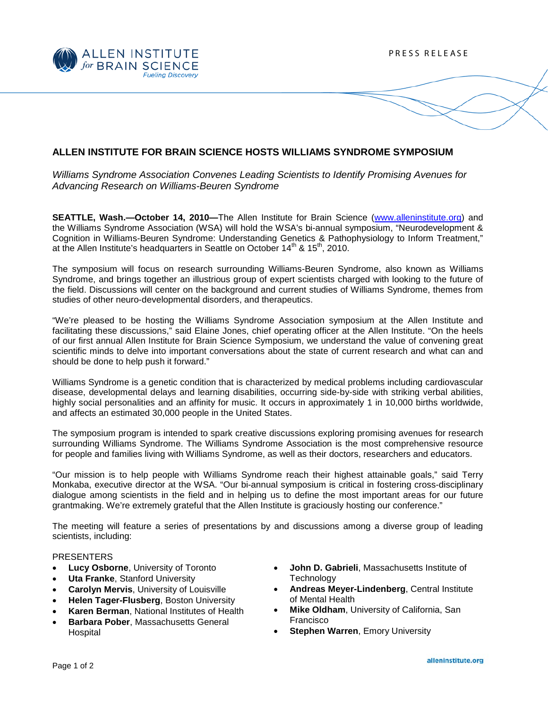

# **ALLEN INSTITUTE FOR BRAIN SCIENCE HOSTS WILLIAMS SYNDROME SYMPOSIUM**

*Williams Syndrome Association Convenes Leading Scientists to Identify Promising Avenues for Advancing Research on Williams-Beuren Syndrome*

**SEATTLE, Wash.—October 14, 2010—**The Allen Institute for Brain Science [\(www.alleninstitute.org\)](http://www.alleninstitute.org/) and the Williams Syndrome Association (WSA) will hold the WSA's bi-annual symposium, "Neurodevelopment & Cognition in Williams-Beuren Syndrome: Understanding Genetics & Pathophysiology to Inform Treatment," at the Allen Institute's headquarters in Seattle on October  $14<sup>th</sup>$  &  $15<sup>th</sup>$ , 2010.

The symposium will focus on research surrounding Williams-Beuren Syndrome, also known as Williams Syndrome, and brings together an illustrious group of expert scientists charged with looking to the future of the field. Discussions will center on the background and current studies of Williams Syndrome, themes from studies of other neuro-developmental disorders, and therapeutics.

"We're pleased to be hosting the Williams Syndrome Association symposium at the Allen Institute and facilitating these discussions," said Elaine Jones, chief operating officer at the Allen Institute. "On the heels of our first annual Allen Institute for Brain Science Symposium, we understand the value of convening great scientific minds to delve into important conversations about the state of current research and what can and should be done to help push it forward."

Williams Syndrome is a genetic condition that is characterized by medical problems including cardiovascular disease, developmental delays and learning disabilities, occurring side-by-side with striking verbal abilities, highly social personalities and an affinity for music. It occurs in approximately 1 in 10,000 births worldwide, and affects an estimated 30,000 people in the United States.

The symposium program is intended to spark creative discussions exploring promising avenues for research surrounding Williams Syndrome. The Williams Syndrome Association is the most comprehensive resource for people and families living with Williams Syndrome, as well as their doctors, researchers and educators.

"Our mission is to help people with Williams Syndrome reach their highest attainable goals," said Terry Monkaba, executive director at the WSA. "Our bi-annual symposium is critical in fostering cross-disciplinary dialogue among scientists in the field and in helping us to define the most important areas for our future grantmaking. We're extremely grateful that the Allen Institute is graciously hosting our conference."

The meeting will feature a series of presentations by and discussions among a diverse group of leading scientists, including:

#### PRESENTERS

- **Lucy Osborne, University of Toronto**
- **Uta Franke, Stanford University**
- **Carolyn Mervis**, University of Louisville
- **Helen Tager-Flusberg**, Boston University
- **Karen Berman**, National Institutes of Health
- **Barbara Pober**, Massachusetts General Hospital
- **John D. Gabrieli**, Massachusetts Institute of **Technology**
- **Andreas Meyer-Lindenberg**, Central Institute of Mental Health
- **Mike Oldham**, University of California, San Francisco
- **Stephen Warren**, Emory University